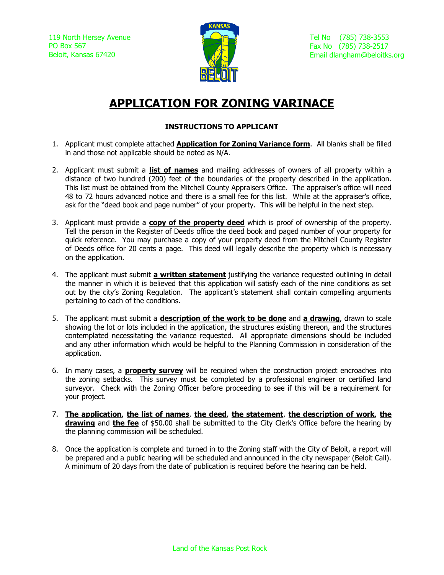119 North Hersey Avenue PO Box 567 Beloit, Kansas 67420



Tel No (785) 738-3553 Fax No (785) 738-2517 Email dlangham@beloitks.org

# **APPLICATION FOR ZONING VARINACE**

#### **INSTRUCTIONS TO APPLICANT**

- 1. Applicant must complete attached **Application for Zoning Variance form**. All blanks shall be filled in and those not applicable should be noted as N/A.
- 2. Applicant must submit a **list of names** and mailing addresses of owners of all property within a distance of two hundred (200) feet of the boundaries of the property described in the application. This list must be obtained from the Mitchell County Appraisers Office. The appraiser's office will need 48 to 72 hours advanced notice and there is a small fee for this list. While at the appraiser's office, ask for the "deed book and page number" of your property. This will be helpful in the next step.
- 3. Applicant must provide a **copy of the property deed** which is proof of ownership of the property. Tell the person in the Register of Deeds office the deed book and paged number of your property for quick reference. You may purchase a copy of your property deed from the Mitchell County Register of Deeds office for 20 cents a page. This deed will legally describe the property which is necessary on the application.
- 4. The applicant must submit **a written statement** justifying the variance requested outlining in detail the manner in which it is believed that this application will satisfy each of the nine conditions as set out by the city's Zoning Regulation. The applicant's statement shall contain compelling arguments pertaining to each of the conditions.
- 5. The applicant must submit a **description of the work to be done** and **a drawing**, drawn to scale showing the lot or lots included in the application, the structures existing thereon, and the structures contemplated necessitating the variance requested. All appropriate dimensions should be included and any other information which would be helpful to the Planning Commission in consideration of the application.
- 6. In many cases, a **property survey** will be required when the construction project encroaches into the zoning setbacks. This survey must be completed by a professional engineer or certified land surveyor. Check with the Zoning Officer before proceeding to see if this will be a requirement for your project.
- 7. **The application**, **the list of names**, **the deed**, **the statement**, **the description of work**, **the drawing** and **the fee** of \$50.00 shall be submitted to the City Clerk's Office before the hearing by the planning commission will be scheduled.
- 8. Once the application is complete and turned in to the Zoning staff with the City of Beloit, a report will be prepared and a public hearing will be scheduled and announced in the city newspaper (Beloit Call). A minimum of 20 days from the date of publication is required before the hearing can be held.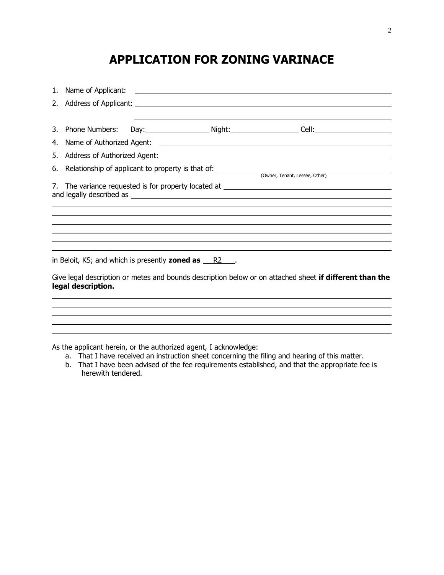## **APPLICATION FOR ZONING VARINACE**

| 4.                                                                                      |                    |  |                                                                        |                                                                                                         |
|-----------------------------------------------------------------------------------------|--------------------|--|------------------------------------------------------------------------|---------------------------------------------------------------------------------------------------------|
| 5.                                                                                      |                    |  |                                                                        |                                                                                                         |
| Relationship of applicant to property is that of: _______________________________<br>6. |                    |  |                                                                        |                                                                                                         |
|                                                                                         |                    |  |                                                                        |                                                                                                         |
|                                                                                         |                    |  |                                                                        |                                                                                                         |
|                                                                                         |                    |  |                                                                        |                                                                                                         |
|                                                                                         |                    |  |                                                                        |                                                                                                         |
|                                                                                         |                    |  |                                                                        |                                                                                                         |
|                                                                                         |                    |  |                                                                        |                                                                                                         |
|                                                                                         |                    |  |                                                                        |                                                                                                         |
|                                                                                         |                    |  |                                                                        |                                                                                                         |
|                                                                                         |                    |  | in Beloit, KS; and which is presently <b>zoned as</b> $\frac{R2}{r}$ . |                                                                                                         |
|                                                                                         | legal description. |  |                                                                        | Give legal description or metes and bounds description below or on attached sheet if different than the |
|                                                                                         |                    |  |                                                                        |                                                                                                         |
|                                                                                         |                    |  |                                                                        |                                                                                                         |
|                                                                                         |                    |  |                                                                        |                                                                                                         |
|                                                                                         |                    |  |                                                                        |                                                                                                         |

As the applicant herein, or the authorized agent, I acknowledge:

- a. That I have received an instruction sheet concerning the filing and hearing of this matter.
- b. That I have been advised of the fee requirements established, and that the appropriate fee is herewith tendered.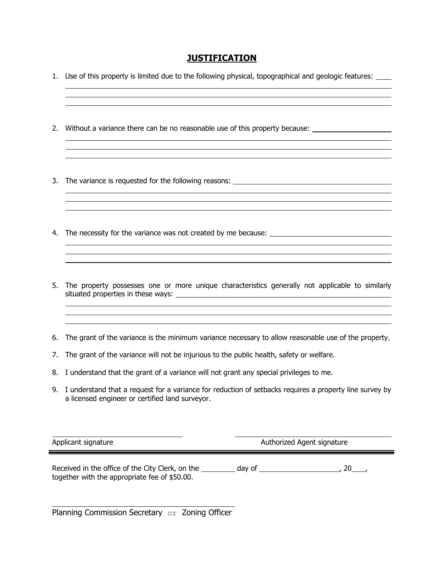### **JUSTIFICATION**

<u> 1989 - Johann Stoff, amerikansk politiker (d. 1989)</u>

- 1. Use of this property is limited due to the following physical, topographical and geologic features:
- 2. Without a variance there can be no reasonable use of this property because:
- 3. The variance is requested for the following reasons:
- 4. The necessity for the variance was not created by me because:
- 5. The property possesses one or more unique characteristics generally not applicable to similarly situated properties in these ways:

<u> 1989 - Johann Stoff, amerikansk politiker (d. 1989)</u>

<u> 1989 - Johann Stoff, die staatsbeskip van die Stoff van die Stoff van die Stoff van die Stoff van die Stoff</u>

- 6. The grant of the variance is the minimum variance necessary to allow reasonable use of the property.
- 7. The grant of the variance will not be injurious to the public health, safety or welfare.

- 8. I understand that the grant of a variance will not grant any special privileges to me.
- 9. I understand that a request for a variance for reduction of setbacks requires a property line survey by a licensed engineer or certified land surveyor.

Applicant signature Authorized Agent signature

Received in the office of the City Clerk, on the day of , 20 , together with the appropriate fee of \$50.00.

Planning Commission Secretary or Zoning Officer